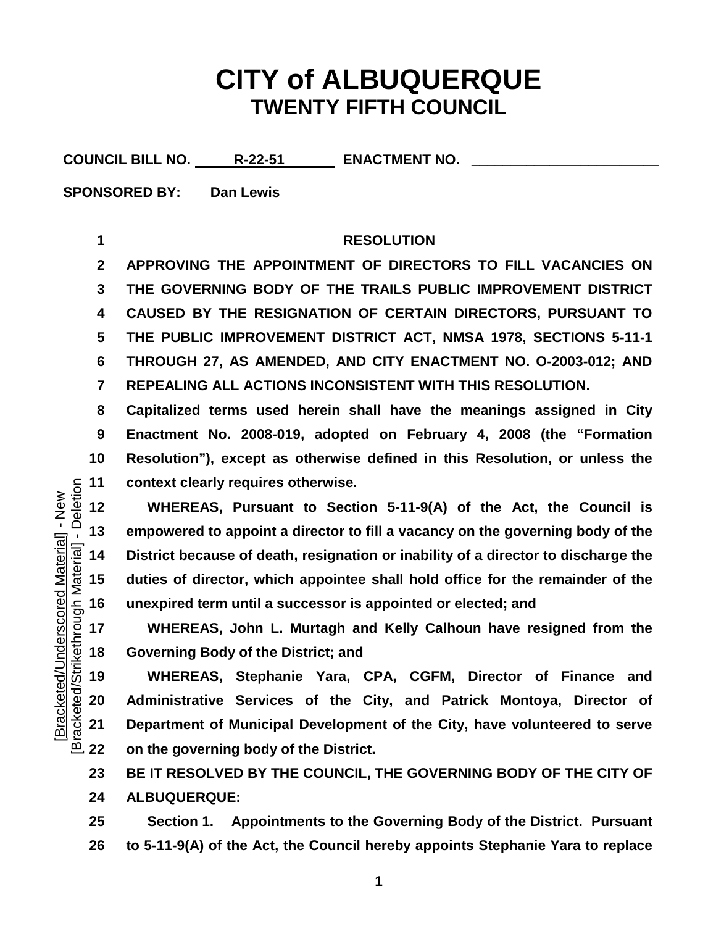## **CITY of ALBUQUERQUE TWENTY FIFTH COUNCIL**

COUNCIL BILL NO. R-22-51 ENACTMENT NO.

**SPONSORED BY: Dan Lewis**

## **RESOLUTION**

 **APPROVING THE APPOINTMENT OF DIRECTORS TO FILL VACANCIES ON THE GOVERNING BODY OF THE TRAILS PUBLIC IMPROVEMENT DISTRICT CAUSED BY THE RESIGNATION OF CERTAIN DIRECTORS, PURSUANT TO THE PUBLIC IMPROVEMENT DISTRICT ACT, NMSA 1978, SECTIONS 5-11-1 THROUGH 27, AS AMENDED, AND CITY ENACTMENT NO. O-2003-012; AND REPEALING ALL ACTIONS INCONSISTENT WITH THIS RESOLUTION.**

 **Capitalized terms used herein shall have the meanings assigned in City Enactment No. 2008-019, adopted on February 4, 2008 (the "Formation Resolution"), except as otherwise defined in this Resolution, or unless the context clearly requires otherwise.**

 **WHEREAS, Pursuant to Section 5-11-9(A) of the Act, the Council is**  13 empowered to appoint a director to fill a vacancy on the governing body of the<br>
16 District because of death, resignation or inability of a director to discharge the<br>
16 duties of director, which appointee shall hold o **District because of death, resignation or inability of a director to discharge the duties of director, which appointee shall hold office for the remainder of the unexpired term until a successor is appointed or elected; and**

 **WHEREAS, John L. Murtagh and Kelly Calhoun have resigned from the Governing Body of the District; and**

 **WHEREAS, Stephanie Yara, CPA, CGFM, Director of Finance and Administrative Services of the City, and Patrick Montoya, Director of Department of Municipal Development of the City, have volunteered to serve on the governing body of the District.**

 **BE IT RESOLVED BY THE COUNCIL, THE GOVERNING BODY OF THE CITY OF ALBUQUERQUE:**

 **Section 1. Appointments to the Governing Body of the District. Pursuant to 5-11-9(A) of the Act, the Council hereby appoints Stephanie Yara to replace**